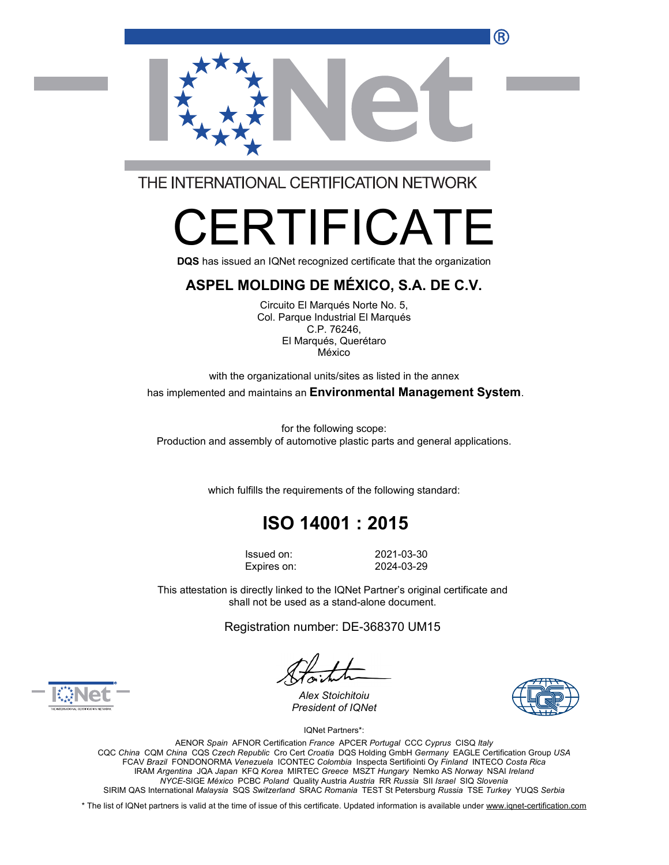

THE INTERNATIONAL CERTIFICATION NETWORK

# $\overline{\phantom{a}}$ FIFICAT

**DQS** has issued an IQNet recognized certificate that the organization

#### **ASPEL MOLDING DE MÉXICO, S.A. DE C.V.**

Circuito El Marqués Norte No. 5, Col. Parque Industrial El Marqués C.P. 76246, El Marqués, Querétaro México

with the organizational units/sites as listed in the annex has implemented and maintains an **Environmental Management System**.

for the following scope: Production and assembly of automotive plastic parts and general applications.

which fulfills the requirements of the following standard:

## **ISO 14001 : 2015**

Issued on: 2021-03-30 Expires on: 2024-03-29

This attestation is directly linked to the IQNet Partner's original certificate and shall not be used as a stand-alone document.

Registration number: DE-368370 UM15





*Alex Stoichitoiu President of IQNet*

IQNet Partners\*:

AENOR *Spain* AFNOR Certification *France* APCER *Portugal* CCC *Cyprus* CISQ *Italy* CQC *China* CQM *China* CQS *Czech Republic* Cro Cert *Croatia* DQS Holding GmbH *Germany* EAGLE Certification Group *USA* FCAV *Brazil* FONDONORMA *Venezuela* ICONTEC *Colombia* Inspecta Sertifiointi Oy *Finland* INTECO *Costa Rica* IRAM *Argentina* JQA *Japan* KFQ *Korea* MIRTEC *Greece* MSZT *Hungary* Nemko AS *Norway* NSAI *Ireland NYCE-*SIGE *México* PCBC *Poland* Quality Austria *Austria* RR *Russia* SII *Israel* SIQ *Slovenia* SIRIM QAS International *Malaysia* SQS *Switzerland* SRAC *Romania* TEST St Petersburg *Russia* TSE *Turkey* YUQS *Serbia*

\* The list of IQNet partners is valid at the time of issue of this certificate. Updated information is available under [www.iqnet-certification.com](http://www.iqnet-certification.com)